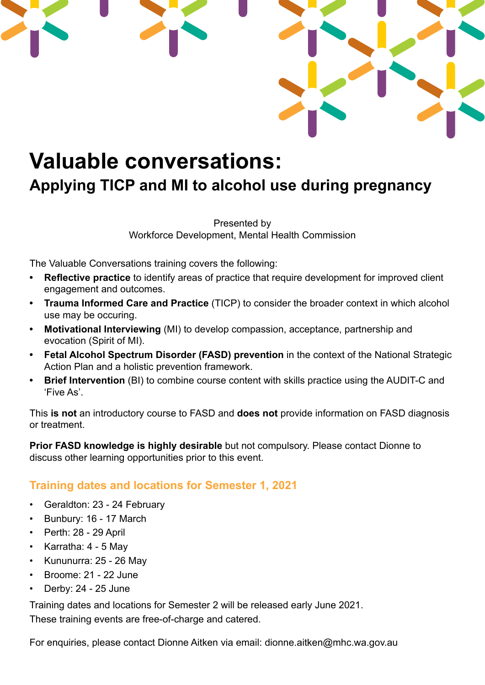

## **Valuable conversations:**

## **Applying TICP and MI to alcohol use during pregnancy**

Presented by Workforce Development, Mental Health Commission

The Valuable Conversations training covers the following:

- **• Reflective practice** to identify areas of practice that require development for improved client engagement and outcomes.
- **• Trauma Informed Care and Practice** (TICP) to consider the broader context in which alcohol use may be occuring.
- **• Motivational Interviewing** (MI) to develop compassion, acceptance, partnership and evocation (Spirit of MI).
- **• Fetal Alcohol Spectrum Disorder (FASD) prevention** in the context of the National Strategic Action Plan and a holistic prevention framework.
- **• Brief Intervention** (BI) to combine course content with skills practice using the AUDIT-C and 'Five As'.

This **is not** an introductory course to FASD and **does not** provide information on FASD diagnosis or treatment.

**Prior FASD knowledge is highly desirable** but not compulsory. Please contact Dionne to discuss other learning opportunities prior to this event.

## **Training dates and locations for Semester 1, 2021**

- Geraldton: 23 24 February
- Bunbury: 16 17 March
- Perth: 28 29 April
- Karratha: 4 5 May
- Kununurra: 25 26 May
- Broome: 21 22 June
- Derby: 24 25 June

Training dates and locations for Semester 2 will be released early June 2021. These training events are free-of-charge and catered.

For enquiries, please contact Dionne Aitken via email: dionne.aitken@mhc.wa.gov.au